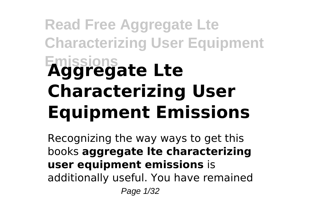# **Read Free Aggregate Lte Characterizing User Equipment Emissions Aggregate Lte Characterizing User Equipment Emissions**

Recognizing the way ways to get this books **aggregate lte characterizing user equipment emissions** is additionally useful. You have remained Page 1/32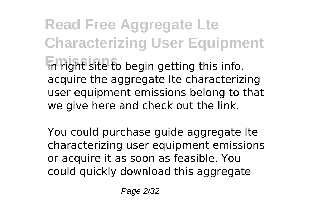**Read Free Aggregate Lte Characterizing User Equipment Emissions** in right site to begin getting this info. acquire the aggregate lte characterizing user equipment emissions belong to that we give here and check out the link.

You could purchase guide aggregate lte characterizing user equipment emissions or acquire it as soon as feasible. You could quickly download this aggregate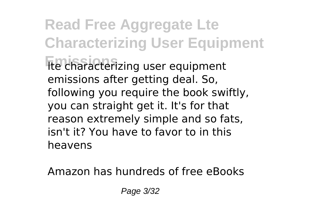**Read Free Aggregate Lte Characterizing User Equipment Emissions** lte characterizing user equipment emissions after getting deal. So, following you require the book swiftly, you can straight get it. It's for that reason extremely simple and so fats, isn't it? You have to favor to in this heavens

Amazon has hundreds of free eBooks

Page 3/32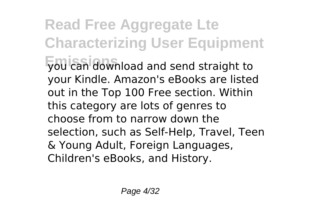**Read Free Aggregate Lte Characterizing User Equipment Emissions** you can download and send straight to your Kindle. Amazon's eBooks are listed out in the Top 100 Free section. Within this category are lots of genres to choose from to narrow down the selection, such as Self-Help, Travel, Teen & Young Adult, Foreign Languages, Children's eBooks, and History.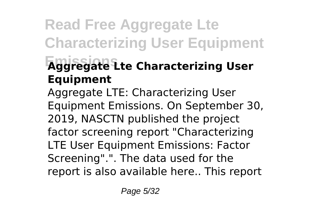### **Read Free Aggregate Lte Characterizing User Equipment Emissions Aggregate Lte Characterizing User Equipment**

Aggregate LTE: Characterizing User Equipment Emissions. On September 30, 2019, NASCTN published the project factor screening report "Characterizing LTE User Equipment Emissions: Factor Screening".". The data used for the report is also available here.. This report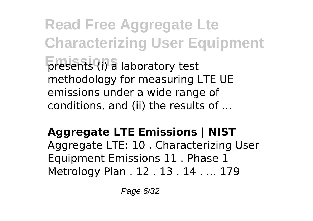**Read Free Aggregate Lte Characterizing User Equipment presents** (i) a laboratory test methodology for measuring LTE UE emissions under a wide range of conditions, and (ii) the results of ...

#### **Aggregate LTE Emissions | NIST**

Aggregate LTE: 10 . Characterizing User Equipment Emissions 11 . Phase 1 Metrology Plan . 12 . 13 . 14 . ... 179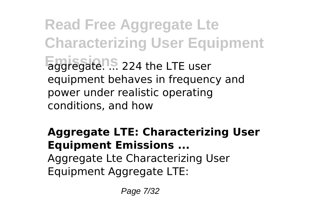**Read Free Aggregate Lte Characterizing User Equipment Emissions** aggregate. ... 224 the LTE user equipment behaves in frequency and power under realistic operating conditions, and how

#### **Aggregate LTE: Characterizing User Equipment Emissions ...** Aggregate Lte Characterizing User Equipment Aggregate LTE:

Page 7/32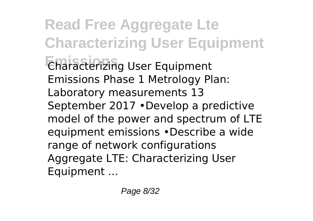**Read Free Aggregate Lte Characterizing User Equipment Emissions** Characterizing User Equipment Emissions Phase 1 Metrology Plan: Laboratory measurements 13 September 2017 •Develop a predictive model of the power and spectrum of LTE equipment emissions •Describe a wide range of network configurations Aggregate LTE: Characterizing User Equipment ...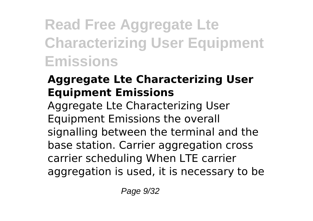## **Read Free Aggregate Lte Characterizing User Equipment Emissions**

#### **Aggregate Lte Characterizing User Equipment Emissions**

Aggregate Lte Characterizing User Equipment Emissions the overall signalling between the terminal and the base station. Carrier aggregation cross carrier scheduling When LTE carrier aggregation is used, it is necessary to be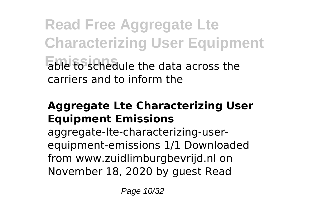**Read Free Aggregate Lte Characterizing User Equipment Emissions** able to schedule the data across the carriers and to inform the

#### **Aggregate Lte Characterizing User Equipment Emissions**

aggregate-lte-characterizing-userequipment-emissions 1/1 Downloaded from www.zuidlimburgbevrijd.nl on November 18, 2020 by guest Read

Page 10/32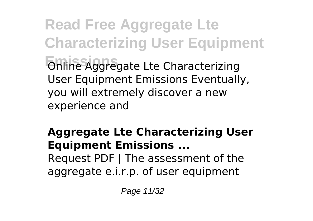**Read Free Aggregate Lte Characterizing User Equipment Emissions** Online Aggregate Lte Characterizing User Equipment Emissions Eventually, you will extremely discover a new experience and

#### **Aggregate Lte Characterizing User Equipment Emissions ...**

Request PDF | The assessment of the aggregate e.i.r.p. of user equipment

Page 11/32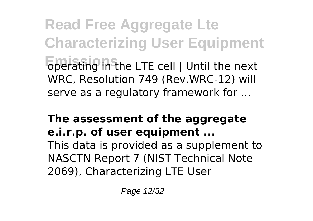**Read Free Aggregate Lte Characterizing User Equipment Emissions** operating in the LTE cell | Until the next WRC, Resolution 749 (Rev.WRC-12) will serve as a regulatory framework for ...

#### **The assessment of the aggregate e.i.r.p. of user equipment ...**

This data is provided as a supplement to NASCTN Report 7 (NIST Technical Note 2069), Characterizing LTE User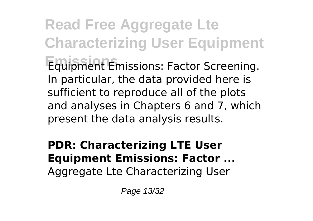**Read Free Aggregate Lte Characterizing User Equipment Emissions** Equipment Emissions: Factor Screening. In particular, the data provided here is sufficient to reproduce all of the plots and analyses in Chapters 6 and 7, which present the data analysis results.

#### **PDR: Characterizing LTE User Equipment Emissions: Factor ...** Aggregate Lte Characterizing User

Page 13/32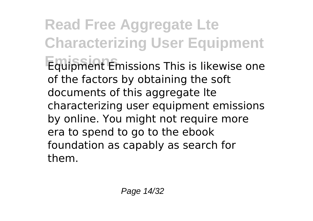**Read Free Aggregate Lte Characterizing User Equipment Emissions** Equipment Emissions This is likewise one of the factors by obtaining the soft documents of this aggregate lte characterizing user equipment emissions by online. You might not require more era to spend to go to the ebook foundation as capably as search for them.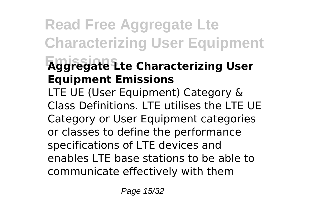### **Read Free Aggregate Lte Characterizing User Equipment Emissions Aggregate Lte Characterizing User Equipment Emissions**

LTE UE (User Equipment) Category & Class Definitions. LTE utilises the LTE UE Category or User Equipment categories or classes to define the performance specifications of LTE devices and enables LTE base stations to be able to communicate effectively with them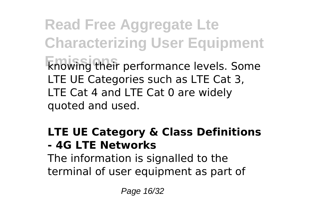**Read Free Aggregate Lte Characterizing User Equipment Emissions** knowing their performance levels. Some LTE UE Categories such as LTE Cat 3, LTE Cat 4 and LTE Cat 0 are widely quoted and used.

#### **LTE UE Category & Class Definitions - 4G LTE Networks**

The information is signalled to the terminal of user equipment as part of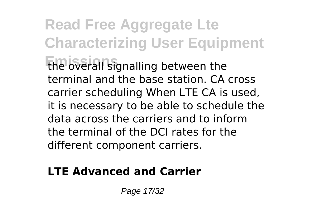**Read Free Aggregate Lte Characterizing User Equipment Emissions** the overall signalling between the terminal and the base station. CA cross carrier scheduling When LTE CA is used, it is necessary to be able to schedule the data across the carriers and to inform the terminal of the DCI rates for the different component carriers.

#### **LTE Advanced and Carrier**

Page 17/32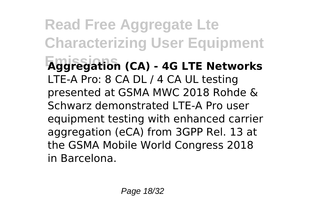**Read Free Aggregate Lte Characterizing User Equipment Emissions Aggregation (CA) - 4G LTE Networks** LTE-A Pro: 8 CA DL / 4 CA UL testing presented at GSMA MWC 2018 Rohde & Schwarz demonstrated LTE-A Pro user equipment testing with enhanced carrier aggregation (eCA) from 3GPP Rel. 13 at the GSMA Mobile World Congress 2018 in Barcelona.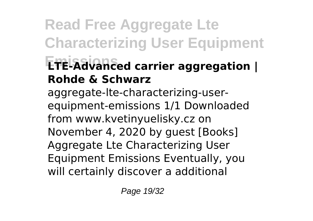## **Read Free Aggregate Lte Characterizing User Equipment Emissions LTE-Advanced carrier aggregation | Rohde & Schwarz**

aggregate-lte-characterizing-userequipment-emissions 1/1 Downloaded from www.kvetinyuelisky.cz on November 4, 2020 by guest [Books] Aggregate Lte Characterizing User Equipment Emissions Eventually, you will certainly discover a additional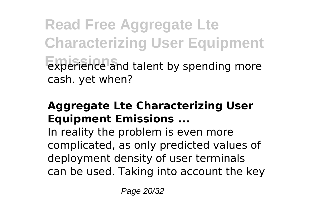**Read Free Aggregate Lte Characterizing User Equipment Emissions** experience and talent by spending more cash. yet when?

#### **Aggregate Lte Characterizing User Equipment Emissions ...**

In reality the problem is even more complicated, as only predicted values of deployment density of user terminals can be used. Taking into account the key

Page 20/32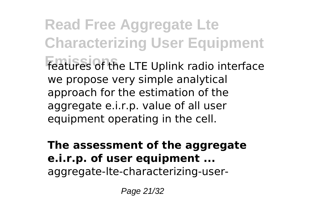**Read Free Aggregate Lte Characterizing User Equipment** features of the LTE Uplink radio interface we propose very simple analytical approach for the estimation of the aggregate e.i.r.p. value of all user equipment operating in the cell.

**The assessment of the aggregate e.i.r.p. of user equipment ...** aggregate-lte-characterizing-user-

Page 21/32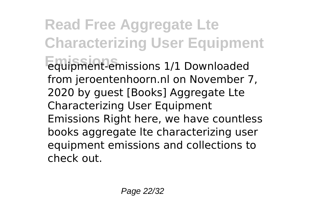**Read Free Aggregate Lte Characterizing User Equipment Emissions** equipment-emissions 1/1 Downloaded from jeroentenhoorn.nl on November 7, 2020 by guest [Books] Aggregate Lte Characterizing User Equipment Emissions Right here, we have countless books aggregate lte characterizing user equipment emissions and collections to check out.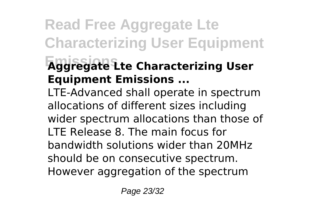### **Read Free Aggregate Lte Characterizing User Equipment Emissions Aggregate Lte Characterizing User Equipment Emissions ...**

LTE-Advanced shall operate in spectrum allocations of different sizes including wider spectrum allocations than those of LTE Release 8. The main focus for bandwidth solutions wider than 20MHz should be on consecutive spectrum. However aggregation of the spectrum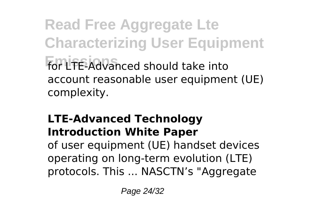**Read Free Aggregate Lte Characterizing User Equipment Emissions** for LTE-Advanced should take into account reasonable user equipment (UE) complexity.

#### **LTE-Advanced Technology Introduction White Paper**

of user equipment (UE) handset devices operating on long-term evolution (LTE) protocols. This ... NASCTN's "Aggregate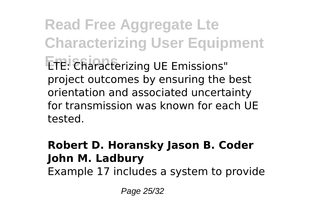**Read Free Aggregate Lte Characterizing User Equipment Emissions** LTE: Characterizing UE Emissions" project outcomes by ensuring the best orientation and associated uncertainty for transmission was known for each UE tested.

#### **Robert D. Horansky Jason B. Coder John M. Ladbury**

Example 17 includes a system to provide

Page 25/32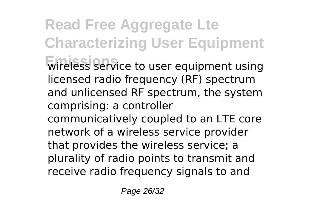**Read Free Aggregate Lte Characterizing User Equipment Emissions** wireless service to user equipment using licensed radio frequency (RF) spectrum and unlicensed RF spectrum, the system comprising: a controller communicatively coupled to an LTE core network of a wireless service provider that provides the wireless service; a plurality of radio points to transmit and receive radio frequency signals to and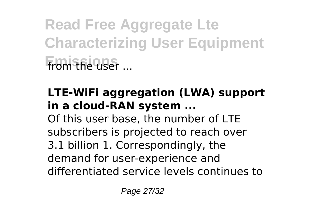**Read Free Aggregate Lte Characterizing User Equipment Emissions** from the user ...

#### **LTE-WiFi aggregation (LWA) support in a cloud-RAN system ...**

Of this user base, the number of LTE subscribers is projected to reach over 3.1 billion 1. Correspondingly, the demand for user-experience and differentiated service levels continues to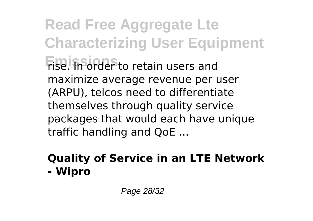**Read Free Aggregate Lte Characterizing User Equipment Emissions** rise. In order to retain users and maximize average revenue per user (ARPU), telcos need to differentiate themselves through quality service packages that would each have unique traffic handling and QoE ...

#### **Quality of Service in an LTE Network - Wipro**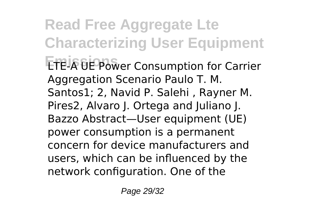**Read Free Aggregate Lte Characterizing User Equipment ETE-A UE Power Consumption for Carrier** Aggregation Scenario Paulo T. M. Santos1; 2, Navid P. Salehi , Rayner M. Pires2, Alvaro J. Ortega and Juliano J. Bazzo Abstract—User equipment (UE) power consumption is a permanent concern for device manufacturers and users, which can be influenced by the network configuration. One of the

Page 29/32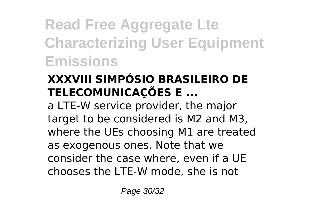**Read Free Aggregate Lte Characterizing User Equipment Emissions**

#### **XXXVIII SIMPÓSIO BRASILEIRO DE TELECOMUNICAÇÕES E ...**

a LTE-W service provider, the major target to be considered is M2 and M3, where the UEs choosing M1 are treated as exogenous ones. Note that we consider the case where, even if a UE chooses the LTE-W mode, she is not

Page 30/32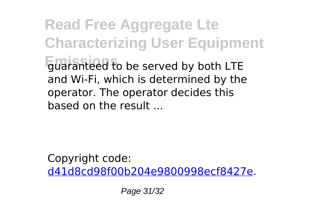**Read Free Aggregate Lte Characterizing User Equipment Emissions** guaranteed to be served by both LTE and Wi-Fi, which is determined by the operator. The operator decides this based on the result ...

Copyright code: [d41d8cd98f00b204e9800998ecf8427e.](/sitemap.xml)

Page 31/32